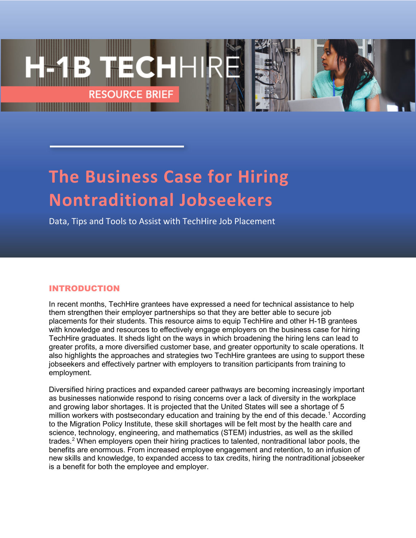

# **The Business Case for Hiring Nontraditional Jobseekers**

Data, Tips and Tools to Assist with TechHire Job Placement

# INTRODUCTION

In recent months, TechHire grantees have expressed a need for technical assistance to help them strengthen their employer partnerships so that they are better able to secure job placements for their students. This resource aims to equip TechHire and other H-1B grantees with knowledge and resources to effectively engage employers on the business case for hiring TechHire graduates. It sheds light on the ways in which broadening the hiring lens can lead to greater profits, a more diversified customer base, and greater opportunity to scale operations. It also highlights the approaches and strategies two TechHire grantees are using to support these jobseekers and effectively partner with employers to transition participants from training to employment.

Diversified hiring practices and expanded career pathways are becoming increasingly important as businesses nationwide respond to rising concerns over a lack of diversity in the workplace and growing labor shortages. It is projected that the United States will see a shortage of 5 million workers with postsecondary education and training by the end of this decade.<sup>[1](#page-9-0)</sup> According to the Migration Policy Institute, these skill shortages will be felt most by the health care and science, technology, engineering, and mathematics (STEM) industries, as well as the skilled trades.<sup>[2](#page-9-1)</sup> When employers open their hiring practices to talented, nontraditional labor pools, the benefits are enormous. From increased employee engagement and retention, to an infusion of new skills and knowledge, to expanded access to tax credits, hiring the nontraditional jobseeker is a benefit for both the employee and employer.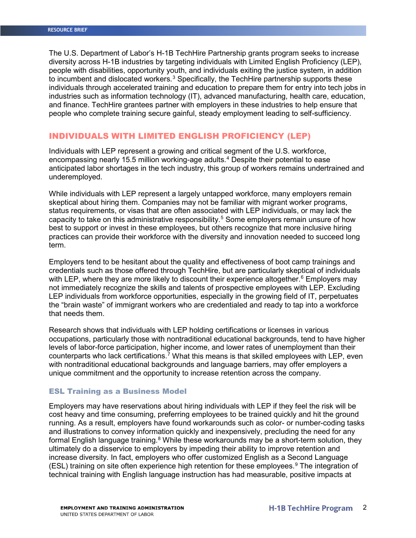The U.S. Department of Labor's H-1B TechHire Partnership grants program seeks to increase diversity across H-1B industries by targeting individuals with Limited English Proficiency (LEP), people with disabilities, opportunity youth, and individuals exiting the justice system, in addition to incumbent and dislocated workers.[3](#page-9-2) Specifically, the TechHire partnership supports these individuals through accelerated training and education to prepare them for entry into tech jobs in industries such as information technology (IT), advanced manufacturing, health care, education, and finance. TechHire grantees partner with employers in these industries to help ensure that people who complete training secure gainful, steady employment leading to self-sufficiency.

## INDIVIDUALS WITH LIMITED ENGLISH PROFICIENCY (LEP)

Individuals with LEP represent a growing and critical segment of the U.S. workforce, encompassing nearly 15.5 million working-age adults.[4](#page-9-3) Despite their potential to ease anticipated labor shortages in the tech industry, this group of workers remains undertrained and underemployed.

While individuals with LEP represent a largely untapped workforce, many employers remain skeptical about hiring them. Companies may not be familiar with migrant worker programs, status requirements, or visas that are often associated with LEP individuals, or may lack the capacity to take on this administrative responsibility.<sup>[5](#page-9-4)</sup> Some employers remain unsure of how best to support or invest in these employees, but others recognize that more inclusive hiring practices can provide their workforce with the diversity and innovation needed to succeed long term.

Employers tend to be hesitant about the quality and effectiveness of boot camp trainings and credentials such as those offered through TechHire, but are particularly skeptical of individuals with LEP, where they are more likely to discount their experience altogether.<sup>[6](#page-9-5)</sup> Employers may not immediately recognize the skills and talents of prospective employees with LEP. Excluding LEP individuals from workforce opportunities, especially in the growing field of IT, perpetuates the "brain waste" of immigrant workers who are credentialed and ready to tap into a workforce that needs them.

Research shows that individuals with LEP holding certifications or licenses in various occupations, particularly those with nontraditional educational backgrounds, tend to have higher levels of labor-force participation, higher income, and lower rates of unemployment than their counterparts who lack certifications.<sup>[7](#page-9-6)</sup> What this means is that skilled employees with LEP, even with nontraditional educational backgrounds and language barriers, may offer employers a unique commitment and the opportunity to increase retention across the company.

#### ESL Training as a Business Model

Employers may have reservations about hiring individuals with LEP if they feel the risk will be cost heavy and time consuming, preferring employees to be trained quickly and hit the ground running. As a result, employers have found workarounds such as color- or number-coding tasks and illustrations to convey information quickly and inexpensively, precluding the need for any formal English language training. $8$  While these workarounds may be a short-term solution, they ultimately do a disservice to employers by impeding their ability to improve retention and increase diversity. In fact, employers who offer customized English as a Second Language (ESL) training on site often experience high retention for these employees.<sup>[9](#page-9-8)</sup> The integration of technical training with English language instruction has had measurable, positive impacts at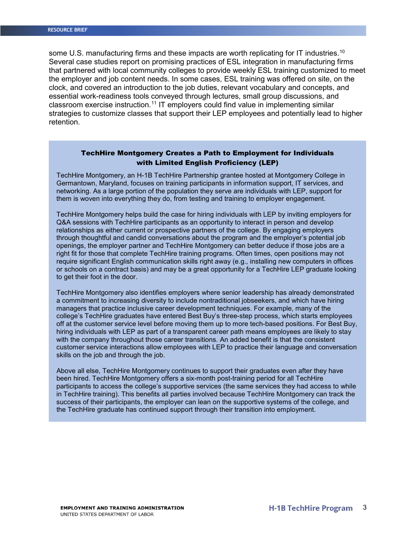some U.S. manufacturing firms and these impacts are worth replicating for IT industries.<sup>[10](#page-9-9)</sup> Several case studies report on promising practices of ESL integration in manufacturing firms that partnered with local community colleges to provide weekly ESL training customized to meet the employer and job content needs. In some cases, ESL training was offered on site, on the clock, and covered an introduction to the job duties, relevant vocabulary and concepts, and essential work-readiness tools conveyed through lectures, small group discussions, and classroom exercise instruction.<sup>[11](#page-9-10)</sup> IT employers could find value in implementing similar strategies to customize classes that support their LEP employees and potentially lead to higher retention.

## TechHire Montgomery Creates a Path to Employment for Individuals with Limited English Proficiency (LEP)

TechHire Montgomery, an H-1B TechHire Partnership grantee hosted at Montgomery College in Germantown, Maryland, focuses on training participants in information support, IT services, and networking. As a large portion of the population they serve are individuals with LEP, support for them is woven into everything they do, from testing and training to employer engagement.

TechHire Montgomery helps build the case for hiring individuals with LEP by inviting employers for Q&A sessions with TechHire participants as an opportunity to interact in person and develop relationships as either current or prospective partners of the college. By engaging employers through thoughtful and candid conversations about the program and the employer's potential job openings, the employer partner and TechHire Montgomery can better deduce if those jobs are a right fit for those that complete TechHire training programs. Often times, open positions may not require significant English communication skills right away (e.g., installing new computers in offices or schools on a contract basis) and may be a great opportunity for a TechHire LEP graduate looking to get their foot in the door.

TechHire Montgomery also identifies employers where senior leadership has already demonstrated a commitment to increasing diversity to include nontraditional jobseekers, and which have hiring managers that practice inclusive career development techniques. For example, many of the college's TechHire graduates have entered Best Buy's three-step process, which starts employees off at the customer service level before moving them up to more tech-based positions. For Best Buy, hiring individuals with LEP as part of a transparent career path means employees are likely to stay with the company throughout those career transitions. An added benefit is that the consistent customer service interactions allow employees with LEP to practice their language and conversation skills on the job and through the job.

Above all else, TechHire Montgomery continues to support their graduates even after they have been hired. TechHire Montgomery offers a six-month post-training period for all TechHire participants to access the college's supportive services (the same services they had access to while in TechHire training). This benefits all parties involved because TechHire Montgomery can track the success of their participants, the employer can lean on the supportive systems of the college, and the TechHire graduate has continued support through their transition into employment.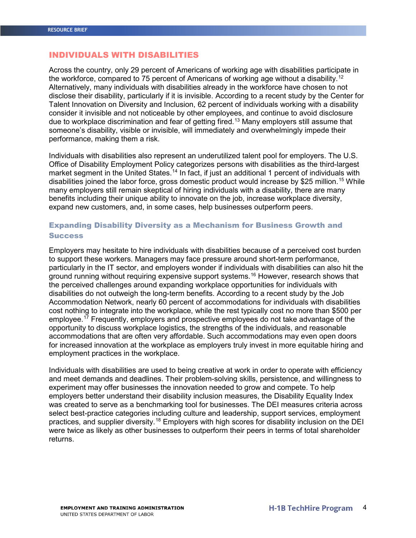#### INDIVIDUALS WITH DISABILITIES

Across the country, only 29 percent of Americans of working age with disabilities participate in the workforce, compared to 75 percent of Americans of working age without a disability.<sup>[12](#page-9-11)</sup> Alternatively, many individuals with disabilities already in the workforce have chosen to not disclose their disability, particularly if it is invisible. According to a recent study by the Center for Talent Innovation on Diversity and Inclusion, 62 percent of individuals working with a disability consider it invisible and not noticeable by other employees, and continue to avoid disclosure due to workplace discrimination and fear of getting fired.<sup>[13](#page-9-12)</sup> Many employers still assume that someone's disability, visible or invisible, will immediately and overwhelmingly impede their performance, making them a risk.

Individuals with disabilities also represent an underutilized talent pool for employers. The U.S. Office of Disability Employment Policy categorizes persons with disabilities as the third-largest market segment in the United States.<sup>[14](#page-9-13)</sup> In fact, if just an additional 1 percent of individuals with disabilities joined the labor force, gross domestic product would increase by \$25 million.<sup>[15](#page-9-14)</sup> While many employers still remain skeptical of hiring individuals with a disability, there are many benefits including their unique ability to innovate on the job, increase workplace diversity, expand new customers, and, in some cases, help businesses outperform peers.

# Expanding Disability Diversity as a Mechanism for Business Growth and **Success**

Employers may hesitate to hire individuals with disabilities because of a perceived cost burden to support these workers. Managers may face pressure around short-term performance, particularly in the IT sector, and employers wonder if individuals with disabilities can also hit the ground running without requiring expensive support systems.<sup>[16](#page-9-15)</sup> However, research shows that the perceived challenges around expanding workplace opportunities for individuals with disabilities do not outweigh the long-term benefits. According to a recent study by the Job Accommodation Network, nearly 60 percent of accommodations for individuals with disabilities cost nothing to integrate into the workplace, while the rest typically cost no more than \$500 per employee.<sup>[17](#page-9-16)</sup> Frequently, employers and prospective employees do not take advantage of the opportunity to discuss workplace logistics, the strengths of the individuals, and reasonable accommodations that are often very affordable. Such accommodations may even open doors for increased innovation at the workplace as employers truly invest in more equitable hiring and employment practices in the workplace.

Individuals with disabilities are used to being creative at work in order to operate with efficiency and meet demands and deadlines. Their problem-solving skills, persistence, and willingness to experiment may offer businesses the innovation needed to grow and compete. To help employers better understand their disability inclusion measures, the Disability Equality Index was created to serve as a benchmarking tool for businesses. The DEI measures criteria across select best-practice categories including culture and leadership, support services, employment practices, and supplier diversity.<sup>[18](#page-9-17)</sup> Employers with high scores for disability inclusion on the DEI were twice as likely as other businesses to outperform their peers in terms of total shareholder returns.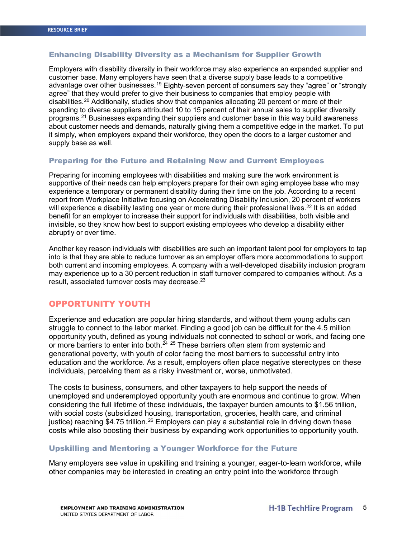## Enhancing Disability Diversity as a Mechanism for Supplier Growth

Employers with disability diversity in their workforce may also experience an expanded supplier and customer base. Many employers have seen that a diverse supply base leads to a competitive advantage over other businesses.[19](#page-9-18) Eighty-seven percent of consumers say they "agree" or "strongly agree" that they would prefer to give their business to companies that employ people with disabilities.[20](#page-10-0) Additionally, studies show that companies allocating 20 percent or more of their spending to diverse suppliers attributed 10 to 15 percent of their annual sales to supplier diversity programs.[21](#page-10-1) Businesses expanding their suppliers and customer base in this way build awareness about customer needs and demands, naturally giving them a competitive edge in the market. To put it simply, when employers expand their workforce, they open the doors to a larger customer and supply base as well.

#### Preparing for the Future and Retaining New and Current Employees

Preparing for incoming employees with disabilities and making sure the work environment is supportive of their needs can help employers prepare for their own aging employee base who may experience a temporary or permanent disability during their time on the job. According to a recent report from Workplace Initiative focusing on Accelerating Disability Inclusion, 20 percent of workers will experience a disability lasting one year or more during their professional lives.<sup>[22](#page-10-2)</sup> It is an added benefit for an employer to increase their support for individuals with disabilities, both visible and invisible, so they know how best to support existing employees who develop a disability either abruptly or over time.

Another key reason individuals with disabilities are such an important talent pool for employers to tap into is that they are able to reduce turnover as an employer offers more accommodations to support both current and incoming employees. A company with a well-developed disability inclusion program may experience up to a 30 percent reduction in staff turnover compared to companies without. As a result, associated turnover costs may decrease.<sup>[23](#page-10-3)</sup>

## OPPORTUNITY YOUTH

Experience and education are popular hiring standards, and without them young adults can struggle to connect to the labor market. Finding a good job can be difficult for the 4.5 million opportunity youth, defined as young individuals not connected to school or work, and facing one or more barriers to enter into both.<sup>[24](#page-10-4)</sup> <sup>[25](#page-10-5)</sup> These barriers often stem from systemic and generational poverty, with youth of color facing the most barriers to successful entry into education and the workforce. As a result, employers often place negative stereotypes on these individuals, perceiving them as a risky investment or, worse, unmotivated.

The costs to business, consumers, and other taxpayers to help support the needs of unemployed and underemployed opportunity youth are enormous and continue to grow. When considering the full lifetime of these individuals, the taxpayer burden amounts to \$1.56 trillion, with social costs (subsidized housing, transportation, groceries, health care, and criminal justice) reaching \$4.75 trillion.<sup>[26](#page-10-6)</sup> Employers can play a substantial role in driving down these costs while also boosting their business by expanding work opportunities to opportunity youth.

#### Upskilling and Mentoring a Younger Workforce for the Future

Many employers see value in upskilling and training a younger, eager-to-learn workforce, while other companies may be interested in creating an entry point into the workforce through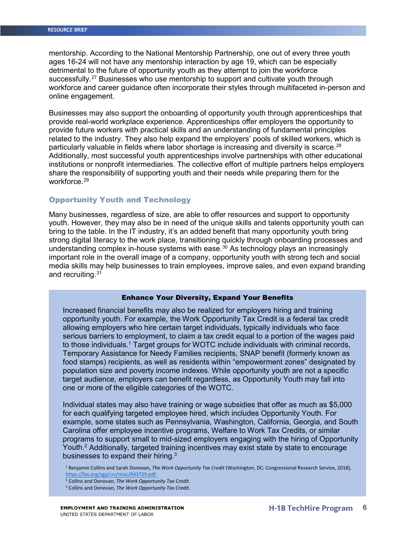mentorship. According to the National Mentorship Partnership, one out of every three youth ages 16-24 will not have any mentorship interaction by age 19, which can be especially detrimental to the future of opportunity youth as they attempt to join the workforce successfully.<sup>[27](#page-10-7)</sup> Businesses who use mentorship to support and cultivate youth through workforce and career guidance often incorporate their styles through multifaceted in-person and online engagement.

Businesses may also support the onboarding of opportunity youth through apprenticeships that provide real-world workplace experience. Apprenticeships offer employers the opportunity to provide future workers with practical skills and an understanding of fundamental principles related to the industry. They also help expand the employers' pools of skilled workers, which is particularly valuable in fields where labor shortage is increasing and diversity is scarce.<sup>[28](#page-10-8)</sup> Additionally, most successful youth apprenticeships involve partnerships with other educational institutions or nonprofit intermediaries. The collective effort of multiple partners helps employers share the responsibility of supporting youth and their needs while preparing them for the workforce.[29](#page-10-9)

## Opportunity Youth and Technology

Many businesses, regardless of size, are able to offer resources and support to opportunity youth. However, they may also be in need of the unique skills and talents opportunity youth can bring to the table. In the IT industry, it's an added benefit that many opportunity youth bring strong digital literacy to the work place, transitioning quickly through onboarding processes and understanding complex in-house systems with ease.  $30$  As technology plays an increasingly important role in the overall image of a company, opportunity youth with strong tech and social media skills may help businesses to train employees, improve sales, and even expand branding and recruiting.<sup>[31](#page-10-11)</sup>

#### Enhance Your Diversity, Expand Your Benefits

Increased financial benefits may also be realized for employers hiring and training opportunity youth. For example, the Work Opportunity Tax Credit is a federal tax credit allowing employers who hire certain target individuals, typically individuals who face serious barriers to employment, to claim a tax credit equal to a portion of the wages paid to those individuals.<sup>1</sup> Target groups for WOTC include individuals with criminal records, Temporary Assistance for Needy Families recipients, SNAP benefit (formerly known as food stamps) recipients, as well as residents within "empowerment zones" designated by population size and poverty income indexes. While opportunity youth are not a specific target audience, employers can benefit regardless, as Opportunity Youth may fall into one or more of the eligible categories of the WOTC.

Individual states may also have training or wage subsidies that offer as much as \$5,000 for each qualifying targeted employee hired, which includes Opportunity Youth. For example, some states such as Pennsylvania, Washington, California, Georgia, and South Carolina offer employee incentive programs, Welfare to Work Tax Credits, or similar programs to support small to mid-sized employers engaging with the hiring of Opportunity Youth.<sup>2</sup> Additionally, targeted training incentives may exist state by state to encourage businesses to expand their hiring. $3$ 

<sup>1</sup> Benjamin Collins and Sarah Donovan, *The Work Opportunity Tax Credit* (Washington, DC: Congressional Research Service, 2018), [https://fas.org/sgp/crs/misc/R43729.pdf.](https://fas.org/sgp/crs/misc/R43729.pdf)

Ĩ

<sup>2</sup> Collins and Donovan, *The Work Opportunity Tax Credit.*

<sup>3</sup> Collins and Donovan, *The Work Opportunity Tax Credit.*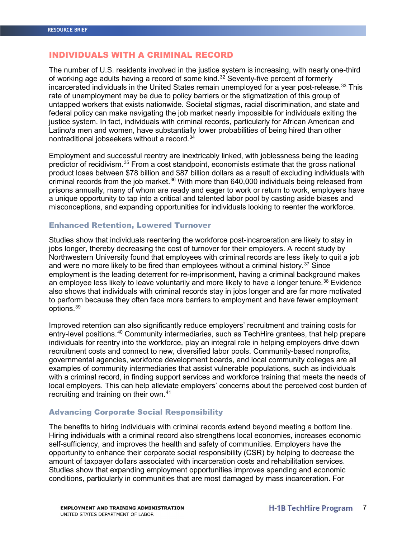## INDIVIDUALS WITH A CRIMINAL RECORD

The number of U.S. residents involved in the justice system is increasing, with nearly one-third of working age adults having a record of some kind.<sup>[32](#page-10-12)</sup> Seventy-five percent of formerly incarcerated individuals in the United States remain unemployed for a year post-release.<sup>[33](#page-10-13)</sup> This rate of unemployment may be due to policy barriers or the stigmatization of this group of untapped workers that exists nationwide. Societal stigmas, racial discrimination, and state and federal policy can make navigating the job market nearly impossible for individuals exiting the justice system. In fact, individuals with criminal records, particularly for African American and Latino/a men and women, have substantially lower probabilities of being hired than other nontraditional jobseekers without a record.<sup>[34](#page-10-14)</sup>

Employment and successful reentry are inextricably linked, with joblessness being the leading predictor of recidivism.<sup>[35](#page-10-15)</sup> From a cost standpoint, economists estimate that the gross national product loses between \$78 billion and \$87 billion dollars as a result of excluding individuals with criminal records from the job market.<sup>[36](#page-10-16)</sup> With more than 640,000 individuals being released from prisons annually, many of whom are ready and eager to work or return to work, employers have a unique opportunity to tap into a critical and talented labor pool by casting aside biases and misconceptions, and expanding opportunities for individuals looking to reenter the workforce.

## Enhanced Retention, Lowered Turnover

Studies show that individuals reentering the workforce post-incarceration are likely to stay in jobs longer, thereby decreasing the cost of turnover for their employers. A recent study by Northwestern University found that employees with criminal records are less likely to quit a job and were no more likely to be fired than employees without a criminal history.<sup>[37](#page-10-17)</sup> Since employment is the leading deterrent for re-imprisonment, having a criminal background makes an employee less likely to leave voluntarily and more likely to have a longer tenure.<sup>[38](#page-10-18)</sup> Evidence also shows that individuals with criminal records stay in jobs longer and are far more motivated to perform because they often face more barriers to employment and have fewer employment options.[39](#page-10-19)

Improved retention can also significantly reduce employers' recruitment and training costs for entry-level positions.<sup>[40](#page-10-20)</sup> Community intermediaries, such as TechHire grantees, that help prepare individuals for reentry into the workforce, play an integral role in helping employers drive down recruitment costs and connect to new, diversified labor pools. Community-based nonprofits, governmental agencies, workforce development boards, and local community colleges are all examples of community intermediaries that assist vulnerable populations, such as individuals with a criminal record, in finding support services and workforce training that meets the needs of local employers. This can help alleviate employers' concerns about the perceived cost burden of recruiting and training on their own.<sup>[41](#page-11-0)</sup>

## Advancing Corporate Social Responsibility

The benefits to hiring individuals with criminal records extend beyond meeting a bottom line. Hiring individuals with a criminal record also strengthens local economies, increases economic self-sufficiency, and improves the health and safety of communities. Employers have the opportunity to enhance their corporate social responsibility (CSR) by helping to decrease the amount of taxpayer dollars associated with incarceration costs and rehabilitation services. Studies show that expanding employment opportunities improves spending and economic conditions, particularly in communities that are most damaged by mass incarceration. For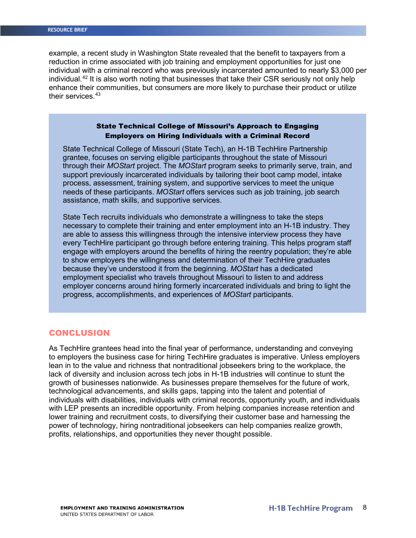example, a recent study in Washington State revealed that the benefit to taxpayers from a reduction in crime associated with job training and employment opportunities for just one individual with a criminal record who was previously incarcerated amounted to nearly \$3,000 per individual.[42](#page-11-1) It is also worth noting that businesses that take their CSR seriously not only help enhance their communities, but consumers are more likely to purchase their product or utilize their services.<sup>[43](#page-11-2)</sup>

## State Technical College of Missouri's Approach to Engaging Employers on Hiring Individuals with a Criminal Record

State Technical College of Missouri (State Tech), an H-1B TechHire Partnership grantee, focuses on serving eligible participants throughout the state of Missouri through their *MOStart* project. The *MOStart* program seeks to primarily serve, train, and support previously incarcerated individuals by tailoring their boot camp model, intake process, assessment, training system, and supportive services to meet the unique needs of these participants. *MOStart* offers services such as job training, job search assistance, math skills, and supportive services.

State Tech recruits individuals who demonstrate a willingness to take the steps necessary to complete their training and enter employment into an H-1B industry. They are able to assess this willingness through the intensive interview process they have every TechHire participant go through before entering training. This helps program staff engage with employers around the benefits of hiring the reentry population; they're able to show employers the willingness and determination of their TechHire graduates because they've understood it from the beginning. *MOStart* has a dedicated employment specialist who travels throughout Missouri to listen to and address employer concerns around hiring formerly incarcerated individuals and bring to light the progress, accomplishments, and experiences of *MOStart* participants.

## CONCLUSION

As TechHire grantees head into the final year of performance, understanding and conveying to employers the business case for hiring TechHire graduates is imperative. Unless employers lean in to the value and richness that nontraditional jobseekers bring to the workplace, the lack of diversity and inclusion across tech jobs in H-1B industries will continue to stunt the growth of businesses nationwide. As businesses prepare themselves for the future of work, technological advancements, and skills gaps, tapping into the talent and potential of individuals with disabilities, individuals with criminal records, opportunity youth, and individuals with LEP presents an incredible opportunity. From helping companies increase retention and lower training and recruitment costs, to diversifying their customer base and harnessing the power of technology, hiring nontraditional jobseekers can help companies realize growth, profits, relationships, and opportunities they never thought possible.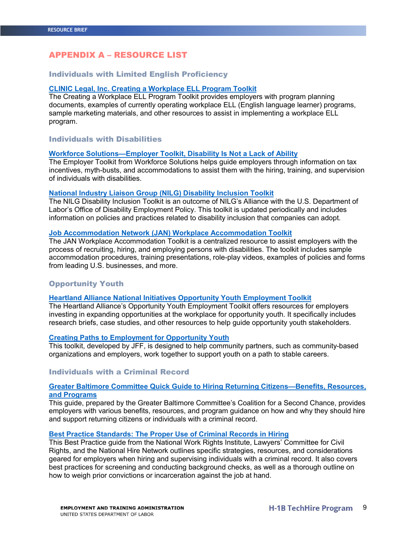# APPENDIX A – RESOURCE LIST

# Individuals with Limited English Proficiency

#### **CLINIC [Legal, Inc. Creating a Workplace ELL Program Toolkit](https://cliniclegal.org/resources/creating-workplace-ell-program)**

The Creating a Workplace ELL Program Toolkit provides employers with program planning documents, examples of currently operating workplace ELL (English language learner) programs, sample marketing materials, and other resources to assist in implementing a workplace ELL program.

#### Individuals with Disabilities

#### **Workforce Solutions—Employer Toolkit, Disability Is Not a Lack of Ability**

The Employer Toolkit from Workforce Solutions helps guide employers through information on tax incentives, myth-busts, and accommodations to assist them with the hiring, training, and supervision of individuals with disabilities.

#### **[National Industry Liaison Group \(NILG\) Disability Inclusion Toolkit](http://www.nationalilg.org/wp-content/uploads/2018/02/NILG-ODEP-Alliance-Toolkit.pdf)**

The NILG Disability Inclusion Toolkit is an outcome of NILG's Alliance with the U.S. Department of Labor's Office of Disability Employment Policy. This toolkit is updated periodically and includes information on policies and practices related to disability inclusion that companies can adopt.

# **[Job Accommodation Network \(JAN\) Workplace Accommodation Toolkit](https://askjan.org/toolkit/)**

The JAN Workplace Accommodation Toolkit is a centralized resource to assist employers with the process of recruiting, hiring, and employing persons with disabilities. The toolkit includes sample accommodation procedures, training presentations, role-play videos, examples of policies and forms from leading U.S. businesses, and more.

#### Opportunity Youth

**[Heartland Alliance National Initiatives Opportunity Youth Employment Toolkit](https://www.heartlandalliance.org/nationalinitiatives/field-building/youth-employment-toolkit/)**

The Heartland Alliance's Opportunity Youth Employment Toolkit offers resources for employers investing in expanding opportunities at the workplace for opportunity youth. It specifically includes research briefs, case studies, and other resources to help guide opportunity youth stakeholders.

## **[Creating Paths to Employment for Opportunity Youth](https://www.jff.org/resources/toolkit-creating-paths-employment-opportunity-youth/)**

This toolkit, developed by JFF, is designed to help community partners, such as community-based organizations and employers, work together to support youth on a path to stable careers.

#### Individuals with a Criminal Record

## **[Greater Baltimore Committee Quick Guide to Hiring Returning Citizens—Benefits, Resources,](https://gbc.org/wp-content/uploads/2017/11/Quick-Guide-HRC-Final-Small-Format-V2-LR.pdf)  [and Programs](https://gbc.org/wp-content/uploads/2017/11/Quick-Guide-HRC-Final-Small-Format-V2-LR.pdf)**

This guide, prepared by the Greater Baltimore Committee's Coalition for a Second Chance, provides employers with various benefits, resources, and program guidance on how and why they should hire and support returning citizens or individuals with a criminal record.

#### **[Best Practice Standards: The Proper Use of Criminal Records in Hiring](https://hirenetwork.org/sites/default/files/Best-Practices-Standards-The-Proper-Use-of-Criminal-Records-in-Hiring.pdf)**

This Best Practice guide from the National Work Rights Institute, Lawyers' Committee for Civil Rights, and the National Hire Network outlines specific strategies, resources, and considerations geared for employers when hiring and supervising individuals with a criminal record. It also covers best practices for screening and conducting background checks, as well as a thorough outline on how to weigh prior convictions or incarceration against the job at hand.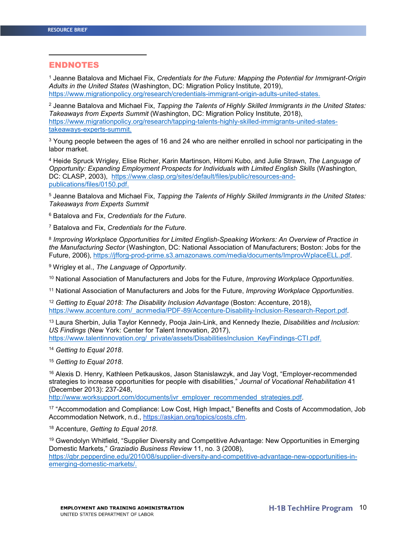$\overline{a}$ 

#### <span id="page-9-0"></span>ENDNOTES

<sup>1</sup> Jeanne Batalova and Michael Fix, *Credentials for the Future: Mapping the Potential for Immigrant-Origin Adults in the United States* (Washington, DC: Migration Policy Institute, 2019), [https://www.migrationpolicy.org/research/credentials-immigrant-origin-adults-united-states.](https://www.migrationpolicy.org/research/credentials-immigrant-origin-adults-united-states)

<span id="page-9-1"></span><sup>2</sup> Jeanne Batalova and Michael Fix, *Tapping the Talents of Highly Skilled Immigrants in the United States: Takeaways from Experts Summit* (Washington, DC: Migration Policy Institute, 2018), [https://www.migrationpolicy.org/research/tapping-talents-highly-skilled-immigrants-united-states](https://www.migrationpolicy.org/research/tapping-talents-highly-skilled-immigrants-united-states-takeaways-experts-summit)[takeaways-experts-summit.](https://www.migrationpolicy.org/research/tapping-talents-highly-skilled-immigrants-united-states-takeaways-experts-summit)

<span id="page-9-2"></span><sup>3</sup> Young people between the ages of 16 and 24 who are neither enrolled in school nor participating in the labor market.

<span id="page-9-3"></span><sup>4</sup> Heide Spruck Wrigley, Elise Richer, Karin Martinson, Hitomi Kubo, and Julie Strawn, *The Language of Opportunity: Expanding Employment Prospects for Individuals with Limited English Skills* (Washington, DC: CLASP, 2003), [https://www.clasp.org/sites/default/files/public/resources-and](https://www.clasp.org/sites/default/files/public/resources-and-publications/files/0150.pdf)[publications/files/0150.pdf.](https://www.clasp.org/sites/default/files/public/resources-and-publications/files/0150.pdf)

<span id="page-9-4"></span><sup>5</sup> Jeanne Batalova and Michael Fix, *Tapping the Talents of Highly Skilled Immigrants in the United States: Takeaways from Experts Summit*

<span id="page-9-5"></span><sup>6</sup> Batalova and Fix, *Credentials for the Future*.

<span id="page-9-6"></span><sup>7</sup> Batalova and Fix, *Credentials for the Future*.

<span id="page-9-7"></span><sup>8</sup> *Improving Workplace Opportunities for Limited English-Speaking Workers: An Overview of Practice in the Manufacturing Sector* (Washington, DC: National Association of Manufacturers; Boston: Jobs for the Future, 2006), [https://jfforg-prod-prime.s3.amazonaws.com/media/documents/ImprovWplaceELL.pdf.](https://jfforg-prod-prime.s3.amazonaws.com/media/documents/ImprovWplaceELL.pdf)

<span id="page-9-8"></span><sup>9</sup> Wrigley et al., *The Language of Opportunity*.

<span id="page-9-9"></span><sup>10</sup> National Association of Manufacturers and Jobs for the Future, *Improving Workplace Opportunities*.

<span id="page-9-10"></span><sup>11</sup> National Association of Manufacturers and Jobs for the Future, *Improving Workplace Opportunities*.

<span id="page-9-11"></span><sup>12</sup> *Getting to Equal 2018: The Disability Inclusion Advantage* (Boston: Accenture, 2018), [https://www.accenture.com/\\_acnmedia/PDF-89/Accenture-Disability-Inclusion-Research-Report.pdf.](https://www.accenture.com/_acnmedia/PDF-89/Accenture-Disability-Inclusion-Research-Report.pdf)

<span id="page-9-12"></span><sup>13</sup> Laura Sherbin, Julia Taylor Kennedy, Pooja Jain-Link, and Kennedy Ihezie, *Disabilities and Inclusion: US Findings* (New York: Center for Talent Innovation, 2017), [https://www.talentinnovation.org/\\_private/assets/DisabilitiesInclusion\\_KeyFindings-CTI.pdf.](https://www.talentinnovation.org/_private/assets/DisabilitiesInclusion_KeyFindings-CTI.pdf)

<span id="page-9-13"></span><sup>14</sup> *Getting to Equal 2018*.

<span id="page-9-14"></span><sup>15</sup> *Getting to Equal 2018*.

<span id="page-9-15"></span><sup>16</sup> Alexis D. Henry, Kathleen Petkauskos, Jason Stanislawzyk, and Jay Vogt, "Employer-recommended strategies to increase opportunities for people with disabilities," *Journal of Vocational Rehabilitation* 41 (December 2013): 237-248,

[http://www.worksupport.com/documents/jvr\\_employer\\_recommended\\_strategies.pdf.](http://www.worksupport.com/documents/jvr_employer_recommended_strategies.pdf)

<span id="page-9-16"></span><sup>17</sup> "Accommodation and Compliance: Low Cost, High Impact," Benefits and Costs of Accommodation, Job Accommodation Network, n.d., [https://askjan.org/topics/costs.cfm.](https://askjan.org/topics/costs.cfm)

<span id="page-9-17"></span><sup>18</sup> Accenture, *Getting to Equal 2018*.

<span id="page-9-18"></span><sup>19</sup> Gwendolyn Whitfield, "Supplier Diversity and Competitive Advantage: New Opportunities in Emerging Domestic Markets," *Graziadio Business Review* 11, no. 3 (2008), [https://gbr.pepperdine.edu/2010/08/supplier-diversity-and-competitive-advantage-new-opportunities-in](https://gbr.pepperdine.edu/2010/08/supplier-diversity-and-competitive-advantage-new-opportunities-in-emerging-domestic-markets/)[emerging-domestic-markets/.](https://gbr.pepperdine.edu/2010/08/supplier-diversity-and-competitive-advantage-new-opportunities-in-emerging-domestic-markets/)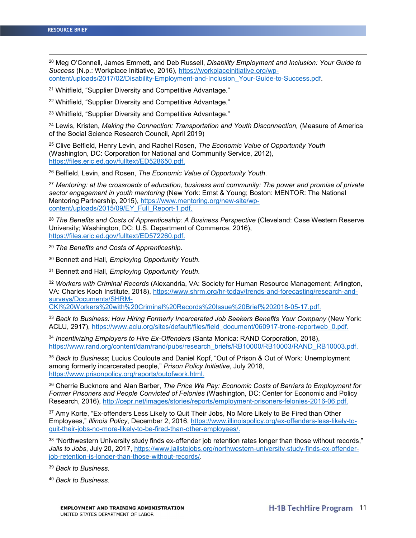$\overline{a}$ 

<span id="page-10-0"></span><sup>20</sup> Meg O'Connell, James Emmett, and Deb Russell, *Disability Employment and Inclusion: Your Guide to Success* (N.p.: Workplace Initiative, 2016), [https://workplaceinitiative.org/wp](https://workplaceinitiative.org/wp-content/uploads/2017/02/Disability-Employment-and-Inclusion_Your-Guide-to-Success.pdf)[content/uploads/2017/02/Disability-Employment-and-Inclusion\\_Your-Guide-to-Success.pdf.](https://workplaceinitiative.org/wp-content/uploads/2017/02/Disability-Employment-and-Inclusion_Your-Guide-to-Success.pdf)

<span id="page-10-1"></span><sup>21</sup> Whitfield, "Supplier Diversity and Competitive Advantage."

<span id="page-10-2"></span><sup>22</sup> Whitfield, "Supplier Diversity and Competitive Advantage."

<span id="page-10-3"></span><sup>23</sup> Whitfield, "Supplier Diversity and Competitive Advantage."

<span id="page-10-4"></span><sup>24</sup> Lewis, Kristen, *Making the Connection: Transportation and Youth Disconnection,* (Measure of America of the Social Science Research Council, April 2019)

<span id="page-10-5"></span><sup>25</sup> Clive Belfield, Henry Levin, and Rachel Rosen, *The Economic Value of Opportunity Youth* (Washington, DC: Corporation for National and Community Service, 2012), [https://files.eric.ed.gov/fulltext/ED528650.pdf.](https://files.eric.ed.gov/fulltext/ED528650.pdf)

<span id="page-10-6"></span><sup>26</sup> Belfield, Levin, and Rosen, *The Economic Value of Opportunity Youth*.

<span id="page-10-7"></span><sup>27</sup> *Mentoring: at the crossroads of education, business and community: The power and promise of private sector engagement in youth mentoring* (New York: Ernst & Young; Boston: MENTOR: The National Mentoring Partnership, 2015), [https://www.mentoring.org/new-site/wp](https://www.mentoring.org/new-site/wp-content/uploads/2015/09/EY_Full_Report-1.pdf)[content/uploads/2015/09/EY\\_Full\\_Report-1.pdf.](https://www.mentoring.org/new-site/wp-content/uploads/2015/09/EY_Full_Report-1.pdf)

<span id="page-10-8"></span><sup>28</sup> *The Benefits and Costs of Apprenticeship: A Business Perspective* (Cleveland: Case Western Reserve University; Washington, DC: U.S. Department of Commerce, 2016), [https://files.eric.ed.gov/fulltext/ED572260.pdf.](https://files.eric.ed.gov/fulltext/ED572260.pdf)

<span id="page-10-9"></span><sup>29</sup> *The Benefits and Costs of Apprenticeship*.

<span id="page-10-10"></span><sup>30</sup> Bennett and Hall, *Employing Opportunity Youth*.

<span id="page-10-11"></span><sup>31</sup> Bennett and Hall, *Employing Opportunity Youth*.

<span id="page-10-12"></span><sup>32</sup> *Workers with Criminal Records* (Alexandria, VA: Society for Human Resource Management; Arlington, VA: Charles Koch Institute, 2018), [https://www.shrm.org/hr-today/trends-and-forecasting/research-and](https://www.shrm.org/hr-today/trends-and-forecasting/research-and-surveys/Documents/SHRM-CKI%20Workers%20with%20Criminal%20Records%20Issue%20Brief%202018-05-17.pdf)[surveys/Documents/SHRM-](https://www.shrm.org/hr-today/trends-and-forecasting/research-and-surveys/Documents/SHRM-CKI%20Workers%20with%20Criminal%20Records%20Issue%20Brief%202018-05-17.pdf)

[CKI%20Workers%20with%20Criminal%20Records%20Issue%20Brief%202018-05-17.pdf.](https://www.shrm.org/hr-today/trends-and-forecasting/research-and-surveys/Documents/SHRM-CKI%20Workers%20with%20Criminal%20Records%20Issue%20Brief%202018-05-17.pdf)

<span id="page-10-13"></span><sup>33</sup> *Back to Business: How Hiring Formerly Incarcerated Job Seekers Benefits Your Company* (New York: ACLU, 2917), [https://www.aclu.org/sites/default/files/field\\_document/060917-trone-reportweb\\_0.pdf.](https://www.aclu.org/sites/default/files/field_document/060917-trone-reportweb_0.pdf)

<span id="page-10-14"></span><sup>34</sup> *Incentivizing Employers to Hire Ex-Offenders* (Santa Monica: RAND Corporation, 2018), [https://www.rand.org/content/dam/rand/pubs/research\\_briefs/RB10000/RB10003/RAND\\_RB10003.pdf.](https://www.rand.org/content/dam/rand/pubs/research_briefs/RB10000/RB10003/RAND_RB10003.pdf)

<span id="page-10-15"></span><sup>35</sup> *Back to Business*; Lucius Couloute and Daniel Kopf, "Out of Prison & Out of Work: Unemployment among formerly incarcerated people," *Prison Policy Initiative*, July 2018, [https://www.prisonpolicy.org/reports/outofwork.html.](https://www.prisonpolicy.org/reports/outofwork.html)

<span id="page-10-16"></span><sup>36</sup> Cherrie Bucknore and Alan Barber, *The Price We Pay: Economic Costs of Barriers to Employment for Former Prisoners and People Convicted of Felonies* (Washington, DC: Center for Economic and Policy Research, 2016), [http://cepr.net/images/stories/reports/employment-prisoners-felonies-2016-06.pdf.](http://cepr.net/images/stories/reports/employment-prisoners-felonies-2016-06.pdf)

<span id="page-10-17"></span><sup>37</sup> Amy Korte, "Ex-offenders Less Likely to Quit Their Jobs, No More Likely to Be Fired than Other Employees," *Illinois Policy*, December 2, 2016, [https://www.illinoispolicy.org/ex-offenders-less-likely-to](https://www.illinoispolicy.org/ex-offenders-less-likely-to-quit-their-jobs-no-more-likely-to-be-fired-than-other-employees/)[quit-their-jobs-no-more-likely-to-be-fired-than-other-employees/.](https://www.illinoispolicy.org/ex-offenders-less-likely-to-quit-their-jobs-no-more-likely-to-be-fired-than-other-employees/)

<span id="page-10-18"></span>38 "Northwestern University study finds ex-offender job retention rates longer than those without records," *Jails to Jobs*, July 20, 2017, [https://www.jailstojobs.org/northwestern-university-study-finds-ex-offender](https://www.jailstojobs.org/northwestern-university-study-finds-ex-offender-job-retention-is-longer-than-those-without-records/)[job-retention-is-longer-than-those-without-records/.](https://www.jailstojobs.org/northwestern-university-study-finds-ex-offender-job-retention-is-longer-than-those-without-records/)

<span id="page-10-19"></span><sup>39</sup> *Back to Business.*

<span id="page-10-20"></span><sup>40</sup> *Back to Business.*